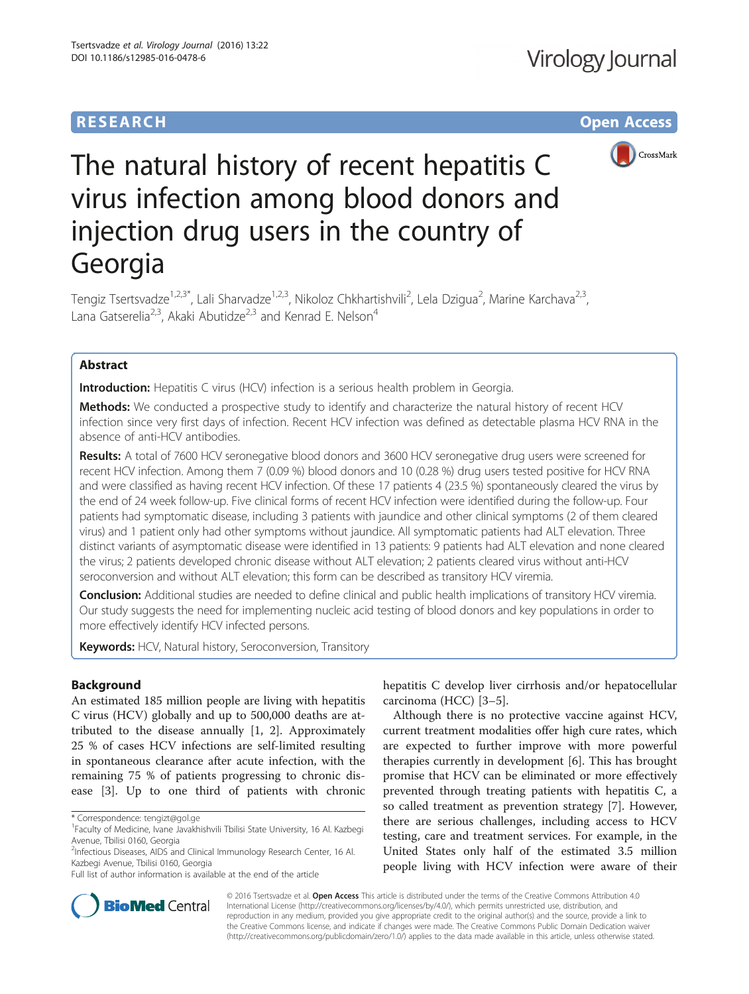## **RESEARCH CHE Open Access**



# The natural history of recent hepatitis C virus infection among blood donors and injection drug users in the country of Georgia

Tengiz Tsertsvadze<sup>1,2,3\*</sup>, Lali Sharvadze<sup>1,2,3</sup>, Nikoloz Chkhartishvili<sup>2</sup>, Lela Dzigua<sup>2</sup>, Marine Karchava<sup>2,3</sup>, Lana Gatserelia<sup>2,3</sup>, Akaki Abutidze<sup>2,3</sup> and Kenrad E. Nelson<sup>4</sup>

## Abstract

**Introduction:** Hepatitis C virus (HCV) infection is a serious health problem in Georgia.

Methods: We conducted a prospective study to identify and characterize the natural history of recent HCV infection since very first days of infection. Recent HCV infection was defined as detectable plasma HCV RNA in the absence of anti-HCV antibodies.

Results: A total of 7600 HCV seronegative blood donors and 3600 HCV seronegative drug users were screened for recent HCV infection. Among them 7 (0.09 %) blood donors and 10 (0.28 %) drug users tested positive for HCV RNA and were classified as having recent HCV infection. Of these 17 patients 4 (23.5 %) spontaneously cleared the virus by the end of 24 week follow-up. Five clinical forms of recent HCV infection were identified during the follow-up. Four patients had symptomatic disease, including 3 patients with jaundice and other clinical symptoms (2 of them cleared virus) and 1 patient only had other symptoms without jaundice. All symptomatic patients had ALT elevation. Three distinct variants of asymptomatic disease were identified in 13 patients: 9 patients had ALT elevation and none cleared the virus; 2 patients developed chronic disease without ALT elevation; 2 patients cleared virus without anti-HCV seroconversion and without ALT elevation; this form can be described as transitory HCV viremia.

Conclusion: Additional studies are needed to define clinical and public health implications of transitory HCV viremia. Our study suggests the need for implementing nucleic acid testing of blood donors and key populations in order to more effectively identify HCV infected persons.

Keywords: HCV, Natural history, Seroconversion, Transitory

## Background

An estimated 185 million people are living with hepatitis C virus (HCV) globally and up to 500,000 deaths are attributed to the disease annually [\[1](#page-5-0), [2](#page-5-0)]. Approximately 25 % of cases HCV infections are self-limited resulting in spontaneous clearance after acute infection, with the remaining 75 % of patients progressing to chronic disease [[3](#page-5-0)]. Up to one third of patients with chronic hepatitis C develop liver cirrhosis and/or hepatocellular carcinoma (HCC) [[3](#page-5-0)–[5](#page-5-0)].

Although there is no protective vaccine against HCV, current treatment modalities offer high cure rates, which are expected to further improve with more powerful therapies currently in development [[6\]](#page-5-0). This has brought promise that HCV can be eliminated or more effectively prevented through treating patients with hepatitis C, a so called treatment as prevention strategy [[7](#page-5-0)]. However, there are serious challenges, including access to HCV testing, care and treatment services. For example, in the United States only half of the estimated 3.5 million people living with HCV infection were aware of their



© 2016 Tsertsvadze et al. Open Access This article is distributed under the terms of the Creative Commons Attribution 4.0 International License [\(http://creativecommons.org/licenses/by/4.0/](http://creativecommons.org/licenses/by/4.0/)), which permits unrestricted use, distribution, and reproduction in any medium, provided you give appropriate credit to the original author(s) and the source, provide a link to the Creative Commons license, and indicate if changes were made. The Creative Commons Public Domain Dedication waiver [\(http://creativecommons.org/publicdomain/zero/1.0/](http://creativecommons.org/publicdomain/zero/1.0/)) applies to the data made available in this article, unless otherwise stated.

<sup>\*</sup> Correspondence: [tengizt@gol.ge](mailto:tengizt@gol.ge) <sup>1</sup>

<sup>&</sup>lt;sup>1</sup> Faculty of Medicine, Ivane Javakhishvili Tbilisi State University, 16 Al. Kazbegi Avenue, Tbilisi 0160, Georgia

<sup>&</sup>lt;sup>2</sup>Infectious Diseases, AIDS and Clinical Immunology Research Center, 16 Al. Kazbegi Avenue, Tbilisi 0160, Georgia

Full list of author information is available at the end of the article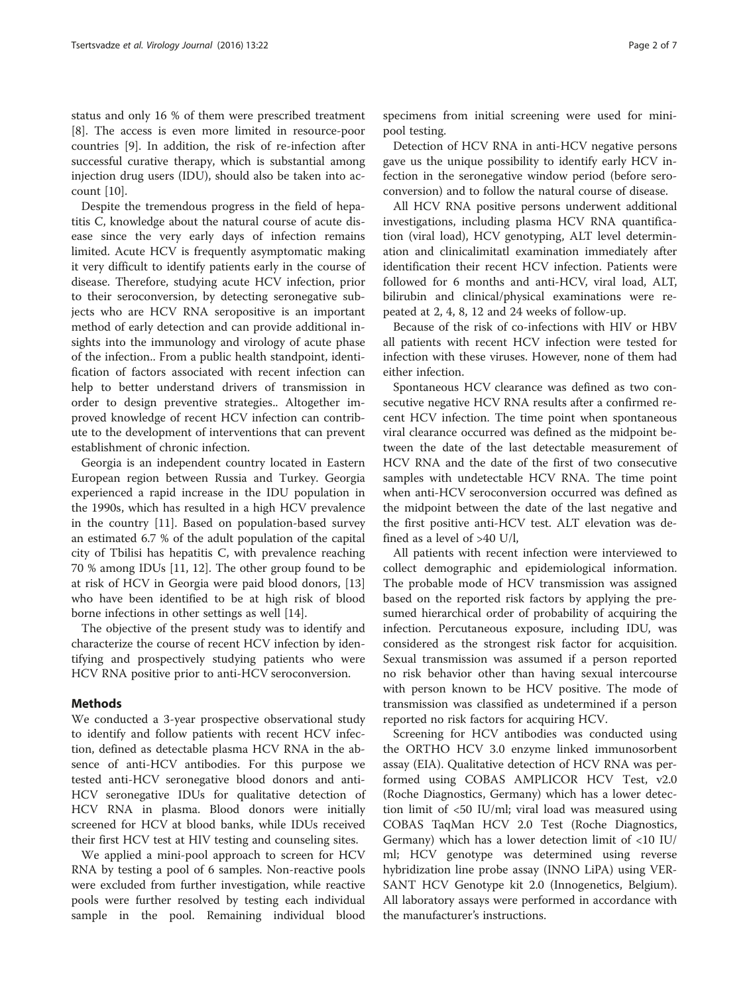status and only 16 % of them were prescribed treatment [[8\]](#page-5-0). The access is even more limited in resource-poor countries [\[9](#page-5-0)]. In addition, the risk of re-infection after successful curative therapy, which is substantial among injection drug users (IDU), should also be taken into account [\[10](#page-5-0)].

Despite the tremendous progress in the field of hepatitis C, knowledge about the natural course of acute disease since the very early days of infection remains limited. Acute HCV is frequently asymptomatic making it very difficult to identify patients early in the course of disease. Therefore, studying acute HCV infection, prior to their seroconversion, by detecting seronegative subjects who are HCV RNA seropositive is an important method of early detection and can provide additional insights into the immunology and virology of acute phase of the infection.. From a public health standpoint, identification of factors associated with recent infection can help to better understand drivers of transmission in order to design preventive strategies.. Altogether improved knowledge of recent HCV infection can contribute to the development of interventions that can prevent establishment of chronic infection.

Georgia is an independent country located in Eastern European region between Russia and Turkey. Georgia experienced a rapid increase in the IDU population in the 1990s, which has resulted in a high HCV prevalence in the country [[11\]](#page-5-0). Based on population-based survey an estimated 6.7 % of the adult population of the capital city of Tbilisi has hepatitis C, with prevalence reaching 70 % among IDUs [\[11, 12\]](#page-5-0). The other group found to be at risk of HCV in Georgia were paid blood donors, [[13](#page-5-0)] who have been identified to be at high risk of blood borne infections in other settings as well [\[14](#page-5-0)].

The objective of the present study was to identify and characterize the course of recent HCV infection by identifying and prospectively studying patients who were HCV RNA positive prior to anti-HCV seroconversion.

## Methods

We conducted a 3-year prospective observational study to identify and follow patients with recent HCV infection, defined as detectable plasma HCV RNA in the absence of anti-HCV antibodies. For this purpose we tested anti-HCV seronegative blood donors and anti-HCV seronegative IDUs for qualitative detection of HCV RNA in plasma. Blood donors were initially screened for HCV at blood banks, while IDUs received their first HCV test at HIV testing and counseling sites.

We applied a mini-pool approach to screen for HCV RNA by testing a pool of 6 samples. Non-reactive pools were excluded from further investigation, while reactive pools were further resolved by testing each individual sample in the pool. Remaining individual blood specimens from initial screening were used for minipool testing.

Detection of HCV RNA in anti-HCV negative persons gave us the unique possibility to identify early HCV infection in the seronegative window period (before seroconversion) and to follow the natural course of disease.

All HCV RNA positive persons underwent additional investigations, including plasma HCV RNA quantification (viral load), HCV genotyping, ALT level determination and clinicalimitatl examination immediately after identification their recent HCV infection. Patients were followed for 6 months and anti-HCV, viral load, ALT, bilirubin and clinical/physical examinations were repeated at 2, 4, 8, 12 and 24 weeks of follow-up.

Because of the risk of co-infections with HIV or HBV all patients with recent HCV infection were tested for infection with these viruses. However, none of them had either infection.

Spontaneous HCV clearance was defined as two consecutive negative HCV RNA results after a confirmed recent HCV infection. The time point when spontaneous viral clearance occurred was defined as the midpoint between the date of the last detectable measurement of HCV RNA and the date of the first of two consecutive samples with undetectable HCV RNA. The time point when anti-HCV seroconversion occurred was defined as the midpoint between the date of the last negative and the first positive anti-HCV test. ALT elevation was defined as a level of >40 U/l,

All patients with recent infection were interviewed to collect demographic and epidemiological information. The probable mode of HCV transmission was assigned based on the reported risk factors by applying the presumed hierarchical order of probability of acquiring the infection. Percutaneous exposure, including IDU, was considered as the strongest risk factor for acquisition. Sexual transmission was assumed if a person reported no risk behavior other than having sexual intercourse with person known to be HCV positive. The mode of transmission was classified as undetermined if a person reported no risk factors for acquiring HCV.

Screening for HCV antibodies was conducted using the ORTHO HCV 3.0 enzyme linked immunosorbent assay (EIA). Qualitative detection of HCV RNA was performed using COBAS AMPLICOR HCV Test, v2.0 (Roche Diagnostics, Germany) which has a lower detection limit of <50 IU/ml; viral load was measured using COBAS TaqMan HCV 2.0 Test (Roche Diagnostics, Germany) which has a lower detection limit of <10 IU/ ml; HCV genotype was determined using reverse hybridization line probe assay (INNO LiPA) using VER-SANT HCV Genotype kit 2.0 (Innogenetics, Belgium). All laboratory assays were performed in accordance with the manufacturer's instructions.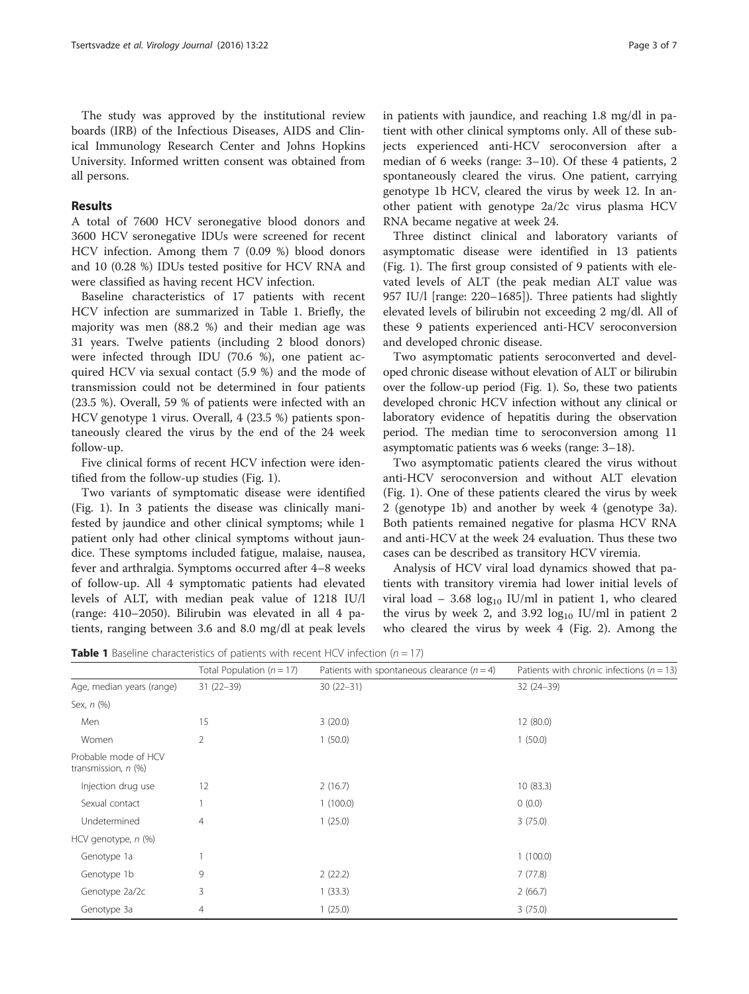## Results

A total of 7600 HCV seronegative blood donors and 3600 HCV seronegative IDUs were screened for recent HCV infection. Among them 7 (0.09 %) blood donors and 10 (0.28 %) IDUs tested positive for HCV RNA and were classified as having recent HCV infection.

Baseline characteristics of 17 patients with recent HCV infection are summarized in Table 1. Briefly, the majority was men (88.2 %) and their median age was 31 years. Twelve patients (including 2 blood donors) were infected through IDU (70.6 %), one patient acquired HCV via sexual contact (5.9 %) and the mode of transmission could not be determined in four patients (23.5 %). Overall, 59 % of patients were infected with an HCV genotype 1 virus. Overall, 4 (23.5 %) patients spontaneously cleared the virus by the end of the 24 week follow-up.

Five clinical forms of recent HCV infection were identified from the follow-up studies (Fig. [1\)](#page-3-0).

Two variants of symptomatic disease were identified (Fig. [1](#page-3-0)). In 3 patients the disease was clinically manifested by jaundice and other clinical symptoms; while 1 patient only had other clinical symptoms without jaundice. These symptoms included fatigue, malaise, nausea, fever and arthralgia. Symptoms occurred after 4–8 weeks of follow-up. All 4 symptomatic patients had elevated levels of ALT, with median peak value of 1218 IU/l (range: 410–2050). Bilirubin was elevated in all 4 patients, ranging between 3.6 and 8.0 mg/dl at peak levels in patients with jaundice, and reaching 1.8 mg/dl in patient with other clinical symptoms only. All of these subjects experienced anti-HCV seroconversion after a median of 6 weeks (range: 3–10). Of these 4 patients, 2 spontaneously cleared the virus. One patient, carrying genotype 1b HCV, cleared the virus by week 12. In another patient with genotype 2a/2c virus plasma HCV RNA became negative at week 24.

Three distinct clinical and laboratory variants of asymptomatic disease were identified in 13 patients (Fig. [1\)](#page-3-0). The first group consisted of 9 patients with elevated levels of ALT (the peak median ALT value was 957 IU/l [range: 220–1685]). Three patients had slightly elevated levels of bilirubin not exceeding 2 mg/dl. All of these 9 patients experienced anti-HCV seroconversion and developed chronic disease.

Two asymptomatic patients seroconverted and developed chronic disease without elevation of ALT or bilirubin over the follow-up period (Fig. [1](#page-3-0)). So, these two patients developed chronic HCV infection without any clinical or laboratory evidence of hepatitis during the observation period. The median time to seroconversion among 11 asymptomatic patients was 6 weeks (range: 3–18).

Two asymptomatic patients cleared the virus without anti-HCV seroconversion and without ALT elevation (Fig. [1\)](#page-3-0). One of these patients cleared the virus by week 2 (genotype 1b) and another by week 4 (genotype 3a). Both patients remained negative for plasma HCV RNA and anti-HCV at the week 24 evaluation. Thus these two cases can be described as transitory HCV viremia.

Analysis of HCV viral load dynamics showed that patients with transitory viremia had lower initial levels of viral load – 3.68  $log_{10}$  IU/ml in patient 1, who cleared the virus by week 2, and 3.92  $log_{10}$  IU/ml in patient 2 who cleared the virus by week 4 (Fig. [2](#page-3-0)). Among the

**Table 1** Baseline characteristics of patients with recent HCV infection ( $n = 17$ )

|                                               | Total Population ( $n = 17$ ) | Patients with spontaneous clearance $(n = 4)$ | Patients with chronic infections ( $n = 13$ ) |
|-----------------------------------------------|-------------------------------|-----------------------------------------------|-----------------------------------------------|
| Age, median years (range)                     | $31(22-39)$                   | $30(22-31)$                                   | $32(24-39)$                                   |
| Sex, n (%)                                    |                               |                                               |                                               |
| Men                                           | 15                            | 3(20.0)                                       | 12 (80.0)                                     |
| Women                                         | $\overline{2}$                | 1(50.0)                                       | 1(50.0)                                       |
| Probable mode of HCV<br>transmission, $n$ (%) |                               |                                               |                                               |
| Injection drug use                            | 12                            | 2(16.7)                                       | 10(83.3)                                      |
| Sexual contact                                |                               | 1(100.0)                                      | 0(0.0)                                        |
| Undetermined                                  | 4                             | 1(25.0)                                       | 3(75.0)                                       |
| HCV genotype, $n$ (%)                         |                               |                                               |                                               |
| Genotype 1a                                   |                               |                                               | 1(100.0)                                      |
| Genotype 1b                                   | 9                             | 2(22.2)                                       | 7(77.8)                                       |
| Genotype 2a/2c                                | 3                             | 1(33.3)                                       | 2(66.7)                                       |
| Genotype 3a                                   | 4                             | 1(25.0)                                       | 3(75.0)                                       |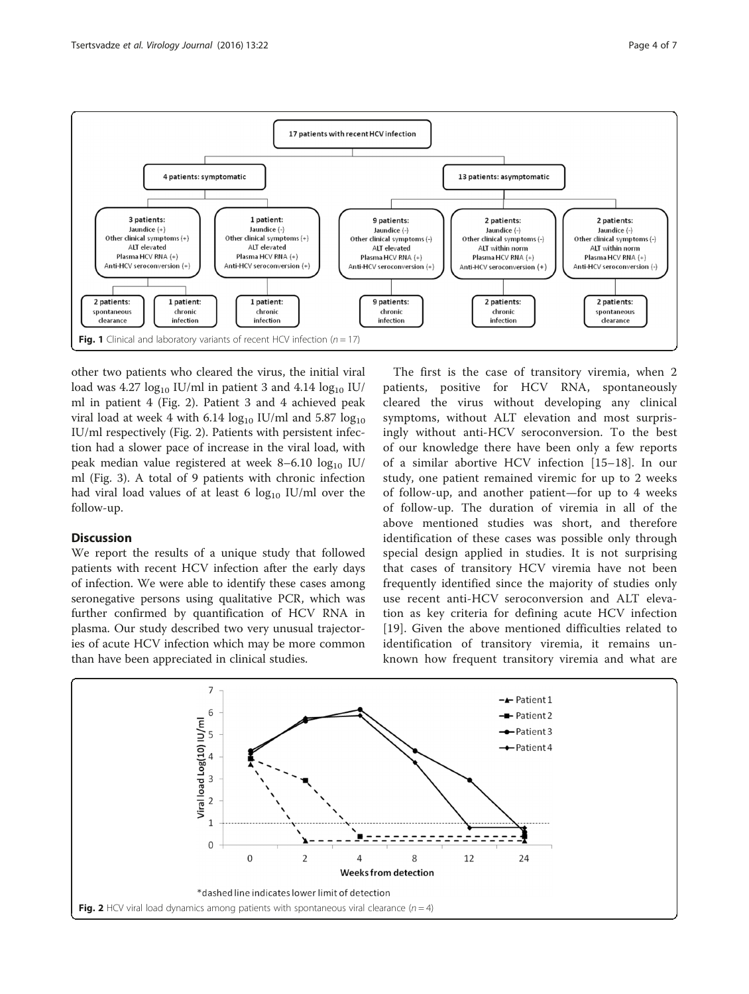<span id="page-3-0"></span>

other two patients who cleared the virus, the initial viral load was 4.27  $log_{10}$  IU/ml in patient 3 and 4.14  $log_{10}$  IU/ ml in patient 4 (Fig. 2). Patient 3 and 4 achieved peak viral load at week 4 with 6.14  $log_{10}$  IU/ml and 5.87  $log_{10}$ IU/ml respectively (Fig. 2). Patients with persistent infection had a slower pace of increase in the viral load, with peak median value registered at week 8–6.10  $log_{10}$  IU/ ml (Fig. [3\)](#page-4-0). A total of 9 patients with chronic infection had viral load values of at least 6  $log_{10}$  IU/ml over the follow-up.

## Discussion

We report the results of a unique study that followed patients with recent HCV infection after the early days of infection. We were able to identify these cases among seronegative persons using qualitative PCR, which was further confirmed by quantification of HCV RNA in plasma. Our study described two very unusual trajectories of acute HCV infection which may be more common than have been appreciated in clinical studies.

The first is the case of transitory viremia, when 2 patients, positive for HCV RNA, spontaneously cleared the virus without developing any clinical symptoms, without ALT elevation and most surprisingly without anti-HCV seroconversion. To the best of our knowledge there have been only a few reports of a similar abortive HCV infection [\[15](#page-5-0)–[18](#page-6-0)]. In our study, one patient remained viremic for up to 2 weeks of follow-up, and another patient—for up to 4 weeks of follow-up. The duration of viremia in all of the above mentioned studies was short, and therefore identification of these cases was possible only through special design applied in studies. It is not surprising that cases of transitory HCV viremia have not been frequently identified since the majority of studies only use recent anti-HCV seroconversion and ALT elevation as key criteria for defining acute HCV infection [[19\]](#page-6-0). Given the above mentioned difficulties related to identification of transitory viremia, it remains unknown how frequent transitory viremia and what are

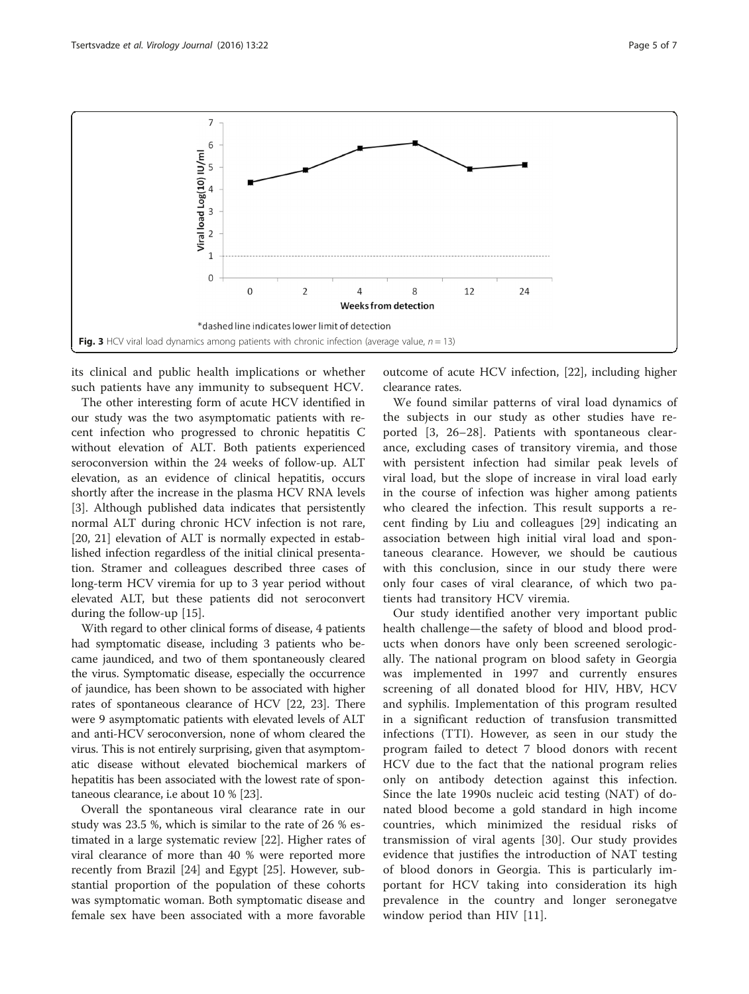<span id="page-4-0"></span>

its clinical and public health implications or whether such patients have any immunity to subsequent HCV.

The other interesting form of acute HCV identified in our study was the two asymptomatic patients with recent infection who progressed to chronic hepatitis C without elevation of ALT. Both patients experienced seroconversion within the 24 weeks of follow-up. ALT elevation, as an evidence of clinical hepatitis, occurs shortly after the increase in the plasma HCV RNA levels [[3\]](#page-5-0). Although published data indicates that persistently normal ALT during chronic HCV infection is not rare, [[20, 21](#page-6-0)] elevation of ALT is normally expected in established infection regardless of the initial clinical presentation. Stramer and colleagues described three cases of long-term HCV viremia for up to 3 year period without elevated ALT, but these patients did not seroconvert during the follow-up [[15](#page-5-0)].

With regard to other clinical forms of disease, 4 patients had symptomatic disease, including 3 patients who became jaundiced, and two of them spontaneously cleared the virus. Symptomatic disease, especially the occurrence of jaundice, has been shown to be associated with higher rates of spontaneous clearance of HCV [[22](#page-6-0), [23\]](#page-6-0). There were 9 asymptomatic patients with elevated levels of ALT and anti-HCV seroconversion, none of whom cleared the virus. This is not entirely surprising, given that asymptomatic disease without elevated biochemical markers of hepatitis has been associated with the lowest rate of spontaneous clearance, i.e about 10 % [[23](#page-6-0)].

Overall the spontaneous viral clearance rate in our study was 23.5 %, which is similar to the rate of 26 % estimated in a large systematic review [\[22](#page-6-0)]. Higher rates of viral clearance of more than 40 % were reported more recently from Brazil [[24\]](#page-6-0) and Egypt [\[25\]](#page-6-0). However, substantial proportion of the population of these cohorts was symptomatic woman. Both symptomatic disease and female sex have been associated with a more favorable outcome of acute HCV infection, [[22\]](#page-6-0), including higher clearance rates.

We found similar patterns of viral load dynamics of the subjects in our study as other studies have reported [[3,](#page-5-0) [26](#page-6-0)–[28](#page-6-0)]. Patients with spontaneous clearance, excluding cases of transitory viremia, and those with persistent infection had similar peak levels of viral load, but the slope of increase in viral load early in the course of infection was higher among patients who cleared the infection. This result supports a recent finding by Liu and colleagues [[29\]](#page-6-0) indicating an association between high initial viral load and spontaneous clearance. However, we should be cautious with this conclusion, since in our study there were only four cases of viral clearance, of which two patients had transitory HCV viremia.

Our study identified another very important public health challenge—the safety of blood and blood products when donors have only been screened serologically. The national program on blood safety in Georgia was implemented in 1997 and currently ensures screening of all donated blood for HIV, HBV, HCV and syphilis. Implementation of this program resulted in a significant reduction of transfusion transmitted infections (TTI). However, as seen in our study the program failed to detect 7 blood donors with recent HCV due to the fact that the national program relies only on antibody detection against this infection. Since the late 1990s nucleic acid testing (NAT) of donated blood become a gold standard in high income countries, which minimized the residual risks of transmission of viral agents [[30\]](#page-6-0). Our study provides evidence that justifies the introduction of NAT testing of blood donors in Georgia. This is particularly important for HCV taking into consideration its high prevalence in the country and longer seronegatve window period than HIV [\[11](#page-5-0)].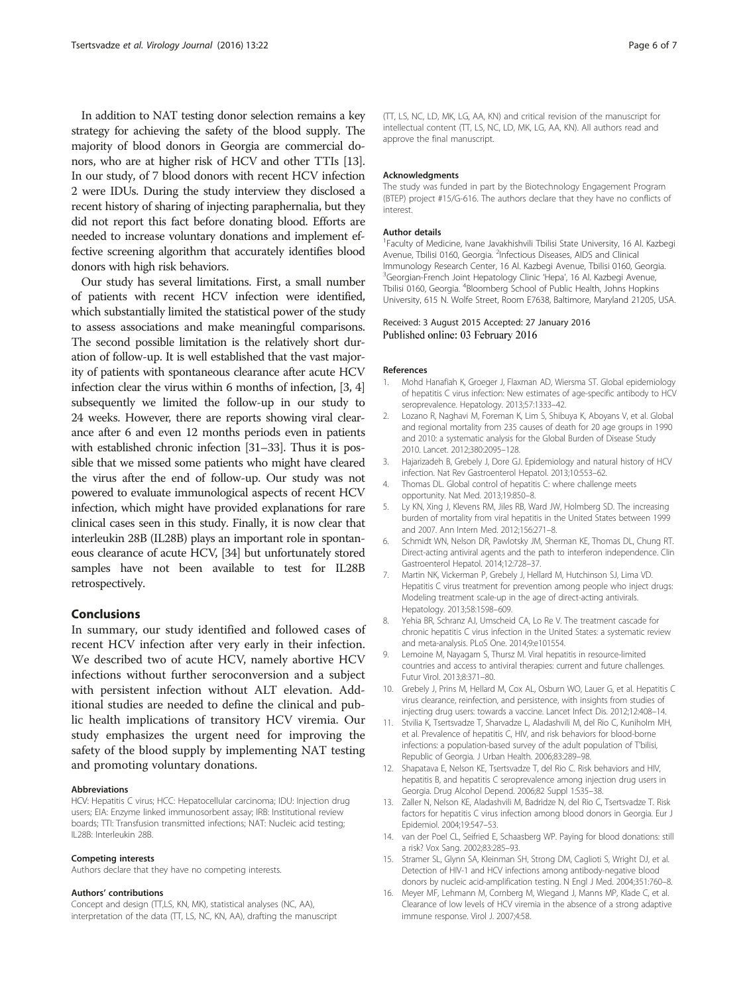<span id="page-5-0"></span>In addition to NAT testing donor selection remains a key strategy for achieving the safety of the blood supply. The majority of blood donors in Georgia are commercial donors, who are at higher risk of HCV and other TTIs [13]. In our study, of 7 blood donors with recent HCV infection 2 were IDUs. During the study interview they disclosed a recent history of sharing of injecting paraphernalia, but they did not report this fact before donating blood. Efforts are needed to increase voluntary donations and implement effective screening algorithm that accurately identifies blood donors with high risk behaviors.

Our study has several limitations. First, a small number of patients with recent HCV infection were identified, which substantially limited the statistical power of the study to assess associations and make meaningful comparisons. The second possible limitation is the relatively short duration of follow-up. It is well established that the vast majority of patients with spontaneous clearance after acute HCV infection clear the virus within 6 months of infection, [3, 4] subsequently we limited the follow-up in our study to 24 weeks. However, there are reports showing viral clearance after 6 and even 12 months periods even in patients with established chronic infection [[31](#page-6-0)–[33](#page-6-0)]. Thus it is possible that we missed some patients who might have cleared the virus after the end of follow-up. Our study was not powered to evaluate immunological aspects of recent HCV infection, which might have provided explanations for rare clinical cases seen in this study. Finally, it is now clear that interleukin 28B (IL28B) plays an important role in spontaneous clearance of acute HCV, [\[34](#page-6-0)] but unfortunately stored samples have not been available to test for IL28B retrospectively.

## Conclusions

In summary, our study identified and followed cases of recent HCV infection after very early in their infection. We described two of acute HCV, namely abortive HCV infections without further seroconversion and a subject with persistent infection without ALT elevation. Additional studies are needed to define the clinical and public health implications of transitory HCV viremia. Our study emphasizes the urgent need for improving the safety of the blood supply by implementing NAT testing and promoting voluntary donations.

#### Abbreviations

HCV: Hepatitis C virus; HCC: Hepatocellular carcinoma; IDU: Injection drug users; EIA: Enzyme linked immunosorbent assay; IRB: Institutional review boards; TTI: Transfusion transmitted infections; NAT: Nucleic acid testing; IL28B: Interleukin 28B.

#### Competing interests

Authors declare that they have no competing interests.

#### Authors' contributions

Concept and design (TT,LS, KN, MK), statistical analyses (NC, AA), interpretation of the data (TT, LS, NC, KN, AA), drafting the manuscript (TT, LS, NC, LD, MK, LG, AA, KN) and critical revision of the manuscript for intellectual content (TT, LS, NC, LD, MK, LG, AA, KN). All authors read and approve the final manuscript.

#### Acknowledgments

The study was funded in part by the Biotechnology Engagement Program (BTEP) project #15/G-616. The authors declare that they have no conflicts of interest.

#### Author details

<sup>1</sup> Faculty of Medicine, Ivane Javakhishvili Tbilisi State University, 16 Al. Kazbegi Avenue, Tbilisi 0160, Georgia. <sup>2</sup>Infectious Diseases, AIDS and Clinical Immunology Research Center, 16 Al. Kazbegi Avenue, Tbilisi 0160, Georgia. 3 Georgian-French Joint Hepatology Clinic 'Hepa', 16 Al. Kazbegi Avenue, Tbilisi 0160, Georgia. <sup>4</sup>Bloomberg School of Public Health, Johns Hopkins University, 615 N. Wolfe Street, Room E7638, Baltimore, Maryland 21205, USA.

### Received: 3 August 2015 Accepted: 27 January 2016 Published online: 03 February 2016

#### References

- 1. Mohd Hanafiah K, Groeger J, Flaxman AD, Wiersma ST. Global epidemiology of hepatitis C virus infection: New estimates of age-specific antibody to HCV seroprevalence. Hepatology. 2013;57:1333–42.
- Lozano R, Naghavi M, Foreman K, Lim S, Shibuya K, Aboyans V, et al. Global and regional mortality from 235 causes of death for 20 age groups in 1990 and 2010: a systematic analysis for the Global Burden of Disease Study 2010. Lancet. 2012;380:2095–128.
- 3. Hajarizadeh B, Grebely J, Dore GJ. Epidemiology and natural history of HCV infection. Nat Rev Gastroenterol Hepatol. 2013;10:553–62.
- 4. Thomas DL. Global control of hepatitis C: where challenge meets opportunity. Nat Med. 2013;19:850–8.
- 5. Ly KN, Xing J, Klevens RM, Jiles RB, Ward JW, Holmberg SD. The increasing burden of mortality from viral hepatitis in the United States between 1999 and 2007. Ann Intern Med. 2012;156:271–8.
- 6. Schmidt WN, Nelson DR, Pawlotsky JM, Sherman KE, Thomas DL, Chung RT. Direct-acting antiviral agents and the path to interferon independence. Clin Gastroenterol Hepatol. 2014;12:728–37.
- 7. Martin NK, Vickerman P, Grebely J, Hellard M, Hutchinson SJ, Lima VD. Hepatitis C virus treatment for prevention among people who inject drugs: Modeling treatment scale-up in the age of direct-acting antivirals. Hepatology. 2013;58:1598–609.
- 8. Yehia BR, Schranz AJ, Umscheid CA, Lo Re V. The treatment cascade for chronic hepatitis C virus infection in the United States: a systematic review and meta-analysis. PLoS One. 2014;9:e101554.
- 9. Lemoine M, Nayagam S, Thursz M. Viral hepatitis in resource-limited countries and access to antiviral therapies: current and future challenges. Futur Virol. 2013;8:371–80.
- 10. Grebely J, Prins M, Hellard M, Cox AL, Osburn WO, Lauer G, et al. Hepatitis C virus clearance, reinfection, and persistence, with insights from studies of injecting drug users: towards a vaccine. Lancet Infect Dis. 2012;12:408–14.
- 11. Stvilia K, Tsertsvadze T, Sharvadze L, Aladashvili M, del Rio C, Kuniholm MH, et al. Prevalence of hepatitis C, HIV, and risk behaviors for blood-borne infections: a population-based survey of the adult population of T'bilisi, Republic of Georgia. J Urban Health. 2006;83:289–98.
- 12. Shapatava E, Nelson KE, Tsertsvadze T, del Rio C. Risk behaviors and HIV, hepatitis B, and hepatitis C seroprevalence among injection drug users in Georgia. Drug Alcohol Depend. 2006;82 Suppl 1:S35–38.
- 13. Zaller N, Nelson KE, Aladashvili M, Badridze N, del Rio C, Tsertsvadze T. Risk factors for hepatitis C virus infection among blood donors in Georgia. Eur J Epidemiol. 2004;19:547–53.
- 14. van der Poel CL, Seifried E, Schaasberg WP. Paying for blood donations: still a risk? Vox Sang. 2002;83:285–93.
- 15. Stramer SL, Glynn SA, Kleinman SH, Strong DM, Caglioti S, Wright DJ, et al. Detection of HIV-1 and HCV infections among antibody-negative blood donors by nucleic acid-amplification testing. N Engl J Med. 2004;351:760–8.
- 16. Meyer MF, Lehmann M, Cornberg M, Wiegand J, Manns MP, Klade C, et al. Clearance of low levels of HCV viremia in the absence of a strong adaptive immune response. Virol J. 2007;4:58.